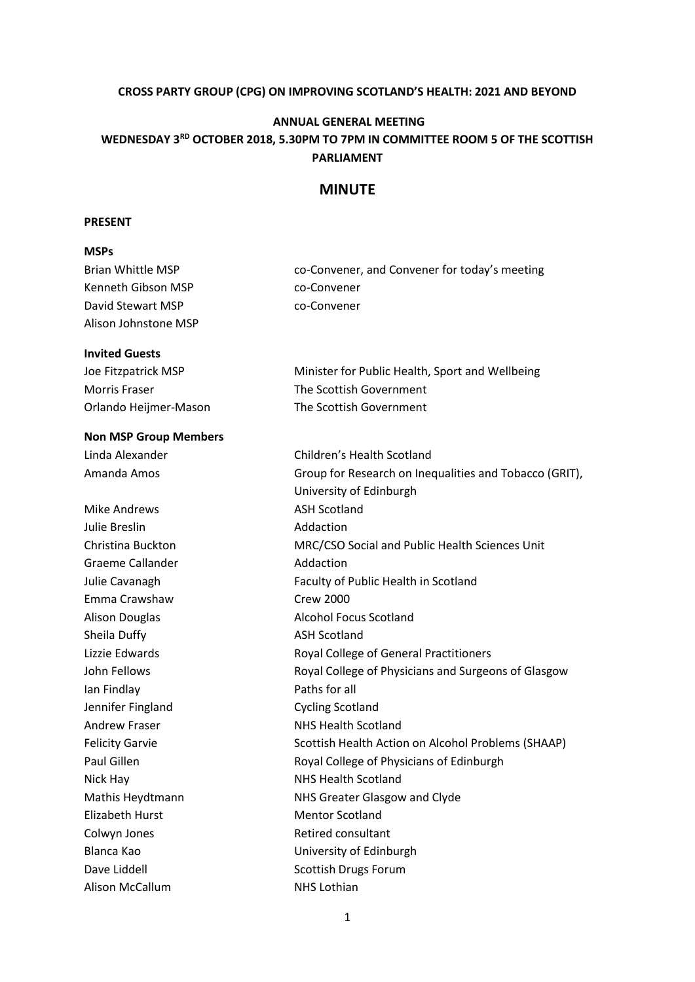# **CROSS PARTY GROUP (CPG) ON IMPROVING SCOTLAND'S HEALTH: 2021 AND BEYOND**

#### **ANNUAL GENERAL MEETING**

# **WEDNESDAY 3RD OCTOBER 2018, 5.30PM TO 7PM IN COMMITTEE ROOM 5 OF THE SCOTTISH PARLIAMENT**

### **MINUTE**

#### **PRESENT**

## **MSPs**

| <b>Brian Whittle MSP</b>     | co-Convener, and Convener for today's meeting          |
|------------------------------|--------------------------------------------------------|
| Kenneth Gibson MSP           | co-Convener                                            |
| David Stewart MSP            | co-Convener                                            |
| Alison Johnstone MSP         |                                                        |
| <b>Invited Guests</b>        |                                                        |
| Joe Fitzpatrick MSP          | Minister for Public Health, Sport and Wellbeing        |
| <b>Morris Fraser</b>         | The Scottish Government                                |
| Orlando Heijmer-Mason        | The Scottish Government                                |
| <b>Non MSP Group Members</b> |                                                        |
| Linda Alexander              | Children's Health Scotland                             |
| Amanda Amos                  | Group for Research on Inequalities and Tobacco (GRIT), |
|                              | University of Edinburgh                                |
| <b>Mike Andrews</b>          | <b>ASH Scotland</b>                                    |
| Julie Breslin                | Addaction                                              |
| Christina Buckton            | MRC/CSO Social and Public Health Sciences Unit         |
| Graeme Callander             | Addaction                                              |
| Julie Cavanagh               | Faculty of Public Health in Scotland                   |
| Emma Crawshaw                | <b>Crew 2000</b>                                       |
| <b>Alison Douglas</b>        | <b>Alcohol Focus Scotland</b>                          |
| Sheila Duffy                 | <b>ASH Scotland</b>                                    |
| Lizzie Edwards               | Royal College of General Practitioners                 |
| John Fellows                 | Royal College of Physicians and Surgeons of Glasgow    |
| Ian Findlay                  | Paths for all                                          |
| Jennifer Fingland            | <b>Cycling Scotland</b>                                |
| <b>Andrew Fraser</b>         | <b>NHS Health Scotland</b>                             |
| <b>Felicity Garvie</b>       | Scottish Health Action on Alcohol Problems (SHAAP)     |
| Paul Gillen                  | Royal College of Physicians of Edinburgh               |
| Nick Hay                     | NHS Health Scotland                                    |
| Mathis Heydtmann             | NHS Greater Glasgow and Clyde                          |
| <b>Elizabeth Hurst</b>       | <b>Mentor Scotland</b>                                 |
| Colwyn Jones                 | <b>Retired consultant</b>                              |
| Blanca Kao                   | University of Edinburgh                                |
| Dave Liddell                 | <b>Scottish Drugs Forum</b>                            |
| Alison McCallum              | NHS Lothian                                            |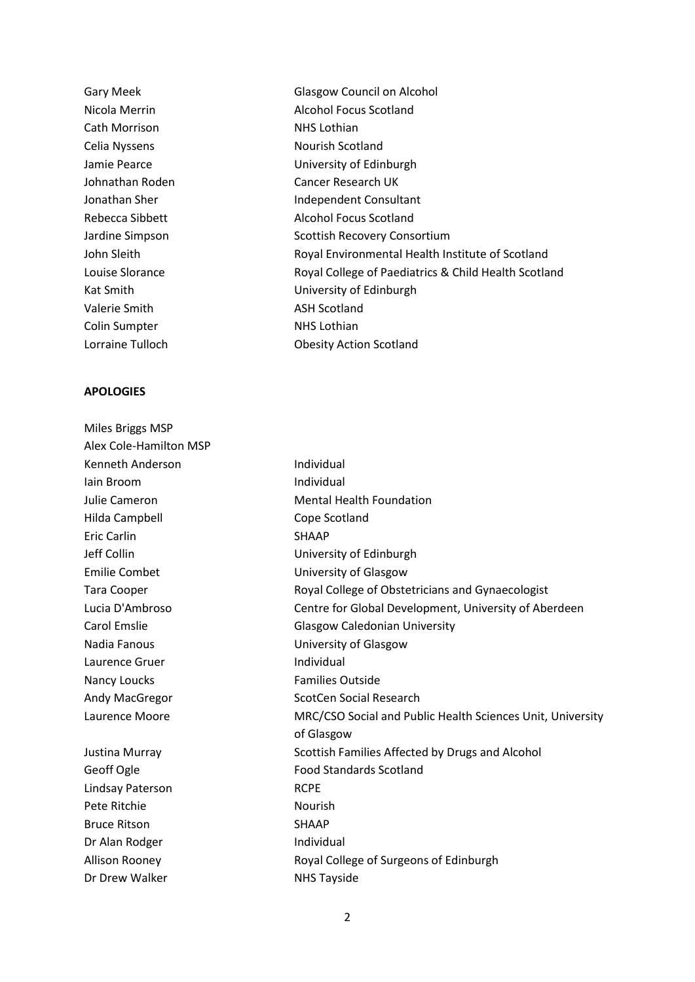Gary Meek Glasgow Council on Alcohol Cath Morrison NHS Lothian Celia Nyssens Nourish Scotland Valerie Smith ASH Scotland Colin Sumpter NHS Lothian Lorraine Tulloch Obesity Action Scotland

#### **APOLOGIES**

| Miles Briggs MSP       |                                                            |
|------------------------|------------------------------------------------------------|
| Alex Cole-Hamilton MSP |                                                            |
| Kenneth Anderson       | Individual                                                 |
| lain Broom             | Individual                                                 |
| Julie Cameron          | <b>Mental Health Foundation</b>                            |
| Hilda Campbell         | Cope Scotland                                              |
| Eric Carlin            | <b>SHAAP</b>                                               |
| Jeff Collin            | University of Edinburgh                                    |
| <b>Emilie Combet</b>   | University of Glasgow                                      |
| Tara Cooper            | Royal College of Obstetricians and Gynaecologist           |
| Lucia D'Ambroso        | Centre for Global Development, University of Aberdeen      |
| Carol Emslie           | <b>Glasgow Caledonian University</b>                       |
| Nadia Fanous           | University of Glasgow                                      |
| Laurence Gruer         | Individual                                                 |
| Nancy Loucks           | <b>Families Outside</b>                                    |
| Andy MacGregor         | <b>ScotCen Social Research</b>                             |
| Laurence Moore         | MRC/CSO Social and Public Health Sciences Unit, University |
|                        | of Glasgow                                                 |
| Justina Murray         | Scottish Families Affected by Drugs and Alcohol            |
| Geoff Ogle             | <b>Food Standards Scotland</b>                             |
| Lindsay Paterson       | <b>RCPE</b>                                                |
| Pete Ritchie           | <b>Nourish</b>                                             |
| <b>Bruce Ritson</b>    | <b>SHAAP</b>                                               |
| Dr Alan Rodger         | Individual                                                 |
| <b>Allison Rooney</b>  | Royal College of Surgeons of Edinburgh                     |
| Dr Drew Walker         | <b>NHS Tayside</b>                                         |

Nicola Merrin Alcohol Focus Scotland Jamie Pearce **Victor** University of Edinburgh Johnathan Roden Cancer Research UK Jonathan Sher **Independent Consultant** Rebecca Sibbett Alcohol Focus Scotland Jardine Simpson Scottish Recovery Consortium John Sleith Royal Environmental Health Institute of Scotland Louise Slorance **Royal College of Paediatrics & Child Health Scotland** Kat Smith **Example 20** University of Edinburgh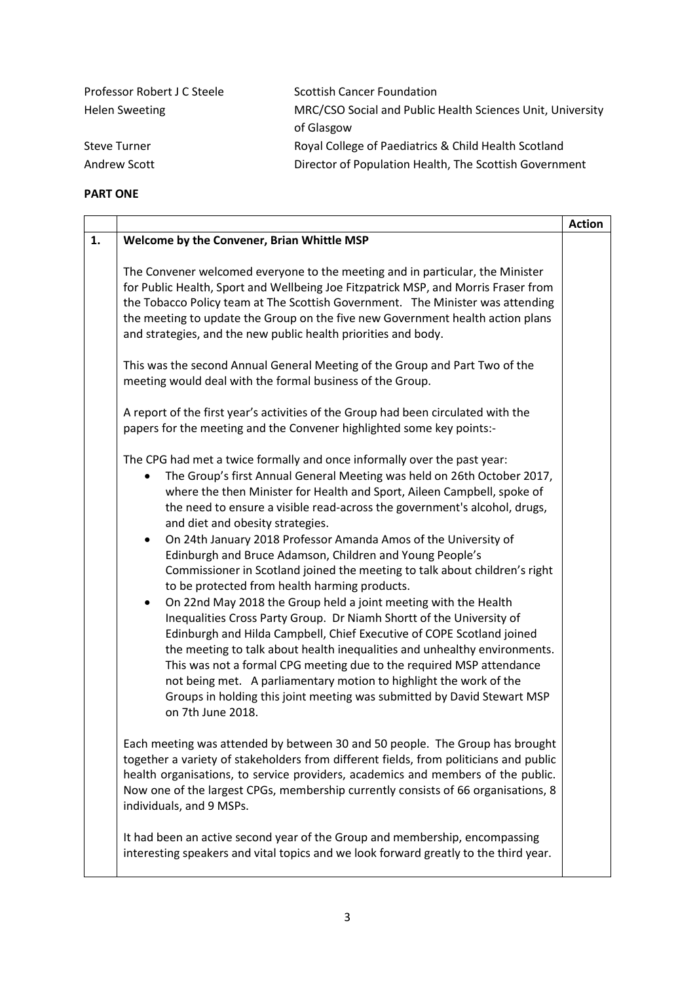| MRC/CSO Social and Public Health Sciences Unit, University |
|------------------------------------------------------------|
|                                                            |
|                                                            |
| Director of Population Health, The Scottish Government     |
|                                                            |

#### **PART ONE**

|    |                                                                                                                                                                                                                                                                                                                                                                                                                                                                                                                                                                                                                                                                                                                                                                                                                                                                                                                                                                                                                                                                                                                                                              | <b>Action</b> |
|----|--------------------------------------------------------------------------------------------------------------------------------------------------------------------------------------------------------------------------------------------------------------------------------------------------------------------------------------------------------------------------------------------------------------------------------------------------------------------------------------------------------------------------------------------------------------------------------------------------------------------------------------------------------------------------------------------------------------------------------------------------------------------------------------------------------------------------------------------------------------------------------------------------------------------------------------------------------------------------------------------------------------------------------------------------------------------------------------------------------------------------------------------------------------|---------------|
| 1. | Welcome by the Convener, Brian Whittle MSP                                                                                                                                                                                                                                                                                                                                                                                                                                                                                                                                                                                                                                                                                                                                                                                                                                                                                                                                                                                                                                                                                                                   |               |
|    | The Convener welcomed everyone to the meeting and in particular, the Minister<br>for Public Health, Sport and Wellbeing Joe Fitzpatrick MSP, and Morris Fraser from<br>the Tobacco Policy team at The Scottish Government. The Minister was attending<br>the meeting to update the Group on the five new Government health action plans<br>and strategies, and the new public health priorities and body.                                                                                                                                                                                                                                                                                                                                                                                                                                                                                                                                                                                                                                                                                                                                                    |               |
|    | This was the second Annual General Meeting of the Group and Part Two of the<br>meeting would deal with the formal business of the Group.                                                                                                                                                                                                                                                                                                                                                                                                                                                                                                                                                                                                                                                                                                                                                                                                                                                                                                                                                                                                                     |               |
|    | A report of the first year's activities of the Group had been circulated with the<br>papers for the meeting and the Convener highlighted some key points:-                                                                                                                                                                                                                                                                                                                                                                                                                                                                                                                                                                                                                                                                                                                                                                                                                                                                                                                                                                                                   |               |
|    | The CPG had met a twice formally and once informally over the past year:<br>The Group's first Annual General Meeting was held on 26th October 2017,<br>where the then Minister for Health and Sport, Aileen Campbell, spoke of<br>the need to ensure a visible read-across the government's alcohol, drugs,<br>and diet and obesity strategies.<br>On 24th January 2018 Professor Amanda Amos of the University of<br>Edinburgh and Bruce Adamson, Children and Young People's<br>Commissioner in Scotland joined the meeting to talk about children's right<br>to be protected from health harming products.<br>On 22nd May 2018 the Group held a joint meeting with the Health<br>Inequalities Cross Party Group. Dr Niamh Shortt of the University of<br>Edinburgh and Hilda Campbell, Chief Executive of COPE Scotland joined<br>the meeting to talk about health inequalities and unhealthy environments.<br>This was not a formal CPG meeting due to the required MSP attendance<br>not being met. A parliamentary motion to highlight the work of the<br>Groups in holding this joint meeting was submitted by David Stewart MSP<br>on 7th June 2018. |               |
|    | Each meeting was attended by between 30 and 50 people. The Group has brought<br>together a variety of stakeholders from different fields, from politicians and public<br>health organisations, to service providers, academics and members of the public.<br>Now one of the largest CPGs, membership currently consists of 66 organisations, 8<br>individuals, and 9 MSPs.                                                                                                                                                                                                                                                                                                                                                                                                                                                                                                                                                                                                                                                                                                                                                                                   |               |
|    | It had been an active second year of the Group and membership, encompassing<br>interesting speakers and vital topics and we look forward greatly to the third year.                                                                                                                                                                                                                                                                                                                                                                                                                                                                                                                                                                                                                                                                                                                                                                                                                                                                                                                                                                                          |               |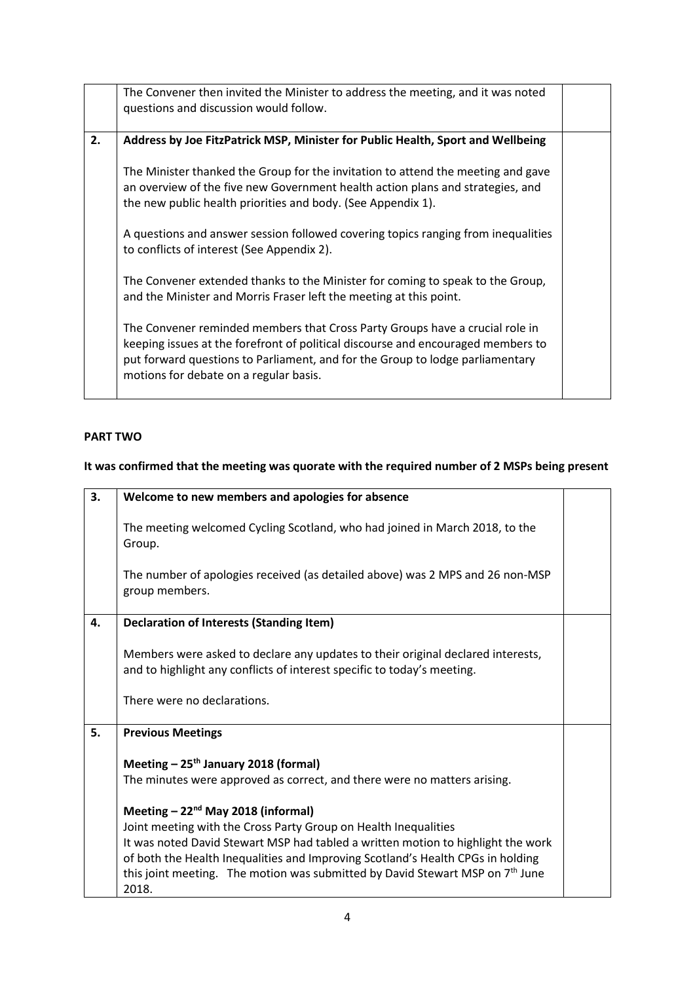|    | The Convener then invited the Minister to address the meeting, and it was noted<br>questions and discussion would follow.                                                                                                                                                                   |  |
|----|---------------------------------------------------------------------------------------------------------------------------------------------------------------------------------------------------------------------------------------------------------------------------------------------|--|
| 2. | Address by Joe FitzPatrick MSP, Minister for Public Health, Sport and Wellbeing                                                                                                                                                                                                             |  |
|    | The Minister thanked the Group for the invitation to attend the meeting and gave<br>an overview of the five new Government health action plans and strategies, and<br>the new public health priorities and body. (See Appendix 1).                                                          |  |
|    | A questions and answer session followed covering topics ranging from inequalities<br>to conflicts of interest (See Appendix 2).                                                                                                                                                             |  |
|    | The Convener extended thanks to the Minister for coming to speak to the Group,<br>and the Minister and Morris Fraser left the meeting at this point.                                                                                                                                        |  |
|    | The Convener reminded members that Cross Party Groups have a crucial role in<br>keeping issues at the forefront of political discourse and encouraged members to<br>put forward questions to Parliament, and for the Group to lodge parliamentary<br>motions for debate on a regular basis. |  |

# **PART TWO**

### **It was confirmed that the meeting was quorate with the required number of 2 MSPs being present**

| 3. | Welcome to new members and apologies for absence                                                                                                                                         |  |
|----|------------------------------------------------------------------------------------------------------------------------------------------------------------------------------------------|--|
|    | The meeting welcomed Cycling Scotland, who had joined in March 2018, to the<br>Group.<br>The number of apologies received (as detailed above) was 2 MPS and 26 non-MSP<br>group members. |  |
|    |                                                                                                                                                                                          |  |
| 4. | <b>Declaration of Interests (Standing Item)</b>                                                                                                                                          |  |
|    |                                                                                                                                                                                          |  |
|    | Members were asked to declare any updates to their original declared interests,                                                                                                          |  |
|    | and to highlight any conflicts of interest specific to today's meeting.                                                                                                                  |  |
|    |                                                                                                                                                                                          |  |
|    | There were no declarations.                                                                                                                                                              |  |
|    |                                                                                                                                                                                          |  |
| 5. | <b>Previous Meetings</b>                                                                                                                                                                 |  |
|    |                                                                                                                                                                                          |  |
|    | Meeting $-25$ <sup>th</sup> January 2018 (formal)                                                                                                                                        |  |
|    | The minutes were approved as correct, and there were no matters arising.                                                                                                                 |  |
|    | Meeting - 22 <sup>nd</sup> May 2018 (informal)                                                                                                                                           |  |
|    | Joint meeting with the Cross Party Group on Health Inequalities                                                                                                                          |  |
|    | It was noted David Stewart MSP had tabled a written motion to highlight the work                                                                                                         |  |
|    | of both the Health Inequalities and Improving Scotland's Health CPGs in holding                                                                                                          |  |
|    | this joint meeting. The motion was submitted by David Stewart MSP on 7 <sup>th</sup> June                                                                                                |  |
|    | 2018.                                                                                                                                                                                    |  |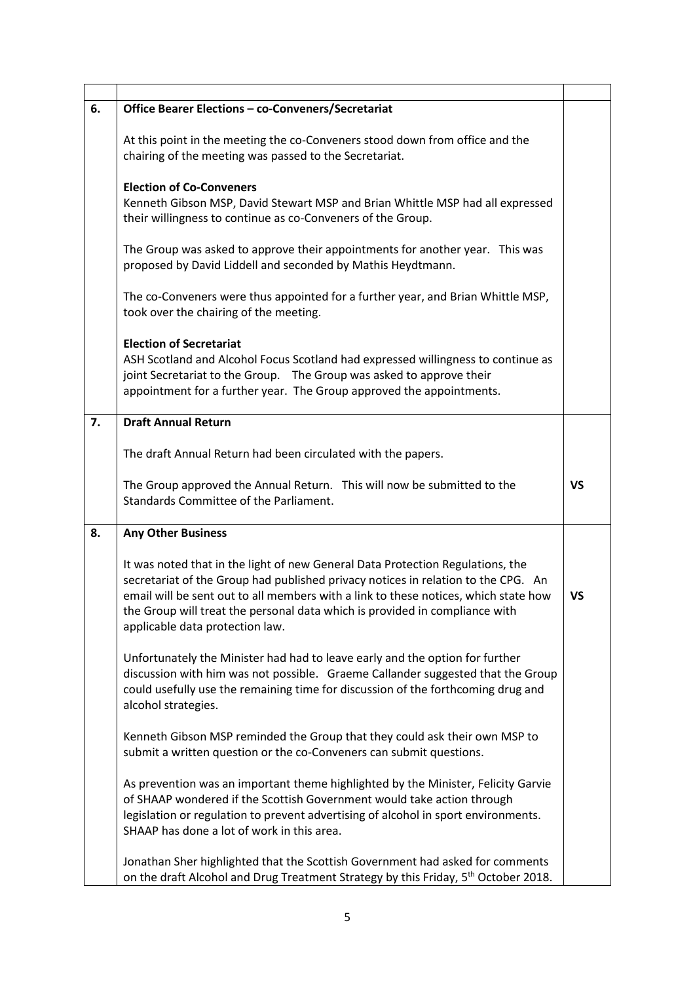| 6. | Office Bearer Elections - co-Conveners/Secretariat                                                                                                                                                                                                                                                                                                                           |           |
|----|------------------------------------------------------------------------------------------------------------------------------------------------------------------------------------------------------------------------------------------------------------------------------------------------------------------------------------------------------------------------------|-----------|
|    | At this point in the meeting the co-Conveners stood down from office and the<br>chairing of the meeting was passed to the Secretariat.                                                                                                                                                                                                                                       |           |
|    | <b>Election of Co-Conveners</b><br>Kenneth Gibson MSP, David Stewart MSP and Brian Whittle MSP had all expressed<br>their willingness to continue as co-Conveners of the Group.                                                                                                                                                                                              |           |
|    | The Group was asked to approve their appointments for another year. This was<br>proposed by David Liddell and seconded by Mathis Heydtmann.                                                                                                                                                                                                                                  |           |
|    | The co-Conveners were thus appointed for a further year, and Brian Whittle MSP,<br>took over the chairing of the meeting.                                                                                                                                                                                                                                                    |           |
|    | <b>Election of Secretariat</b><br>ASH Scotland and Alcohol Focus Scotland had expressed willingness to continue as<br>joint Secretariat to the Group.  The Group was asked to approve their<br>appointment for a further year. The Group approved the appointments.                                                                                                          |           |
| 7. | <b>Draft Annual Return</b>                                                                                                                                                                                                                                                                                                                                                   |           |
|    | The draft Annual Return had been circulated with the papers.                                                                                                                                                                                                                                                                                                                 |           |
|    | The Group approved the Annual Return. This will now be submitted to the<br>Standards Committee of the Parliament.                                                                                                                                                                                                                                                            | <b>VS</b> |
| 8. | <b>Any Other Business</b>                                                                                                                                                                                                                                                                                                                                                    |           |
|    | It was noted that in the light of new General Data Protection Regulations, the<br>secretariat of the Group had published privacy notices in relation to the CPG. An<br>email will be sent out to all members with a link to these notices, which state how<br>the Group will treat the personal data which is provided in compliance with<br>applicable data protection law. | <b>VS</b> |
|    | Unfortunately the Minister had had to leave early and the option for further<br>discussion with him was not possible. Graeme Callander suggested that the Group<br>could usefully use the remaining time for discussion of the forthcoming drug and<br>alcohol strategies.                                                                                                   |           |
|    | Kenneth Gibson MSP reminded the Group that they could ask their own MSP to<br>submit a written question or the co-Conveners can submit questions.                                                                                                                                                                                                                            |           |
|    | As prevention was an important theme highlighted by the Minister, Felicity Garvie<br>of SHAAP wondered if the Scottish Government would take action through<br>legislation or regulation to prevent advertising of alcohol in sport environments.<br>SHAAP has done a lot of work in this area.                                                                              |           |
|    | Jonathan Sher highlighted that the Scottish Government had asked for comments<br>on the draft Alcohol and Drug Treatment Strategy by this Friday, 5 <sup>th</sup> October 2018.                                                                                                                                                                                              |           |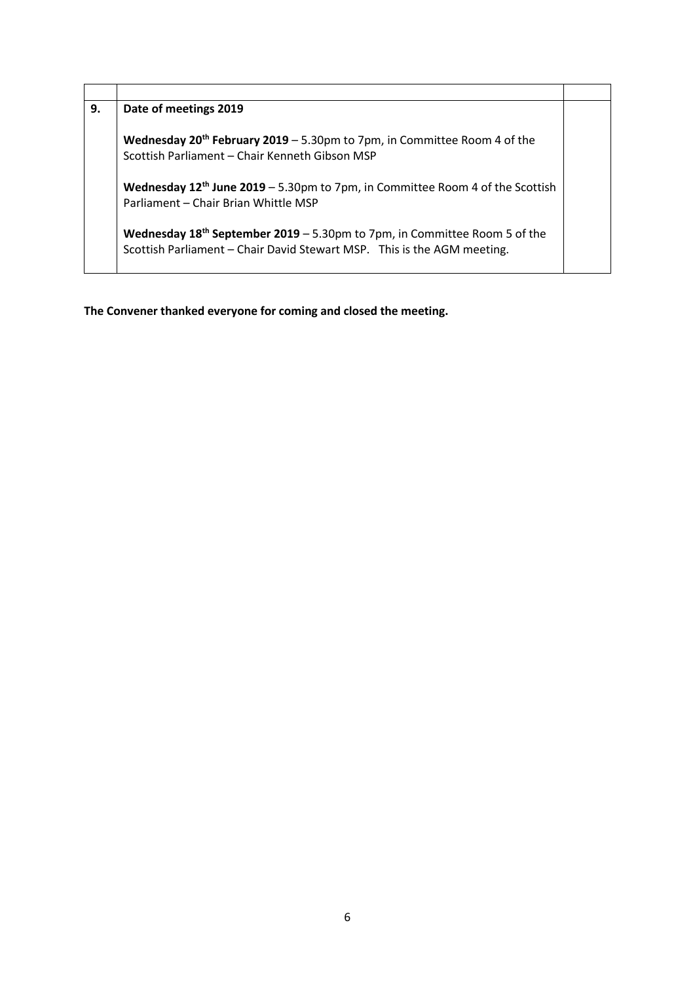| 9. | Date of meetings 2019                                                                                                                                     |  |
|----|-----------------------------------------------------------------------------------------------------------------------------------------------------------|--|
|    | Wednesday $20^{th}$ February 2019 - 5.30pm to 7pm, in Committee Room 4 of the<br>Scottish Parliament - Chair Kenneth Gibson MSP                           |  |
|    | Wednesday 12 <sup>th</sup> June 2019 - 5.30pm to 7pm, in Committee Room 4 of the Scottish<br>Parliament - Chair Brian Whittle MSP                         |  |
|    | Wednesday $18^{th}$ September 2019 - 5.30pm to 7pm, in Committee Room 5 of the<br>Scottish Parliament - Chair David Stewart MSP. This is the AGM meeting. |  |

**The Convener thanked everyone for coming and closed the meeting.**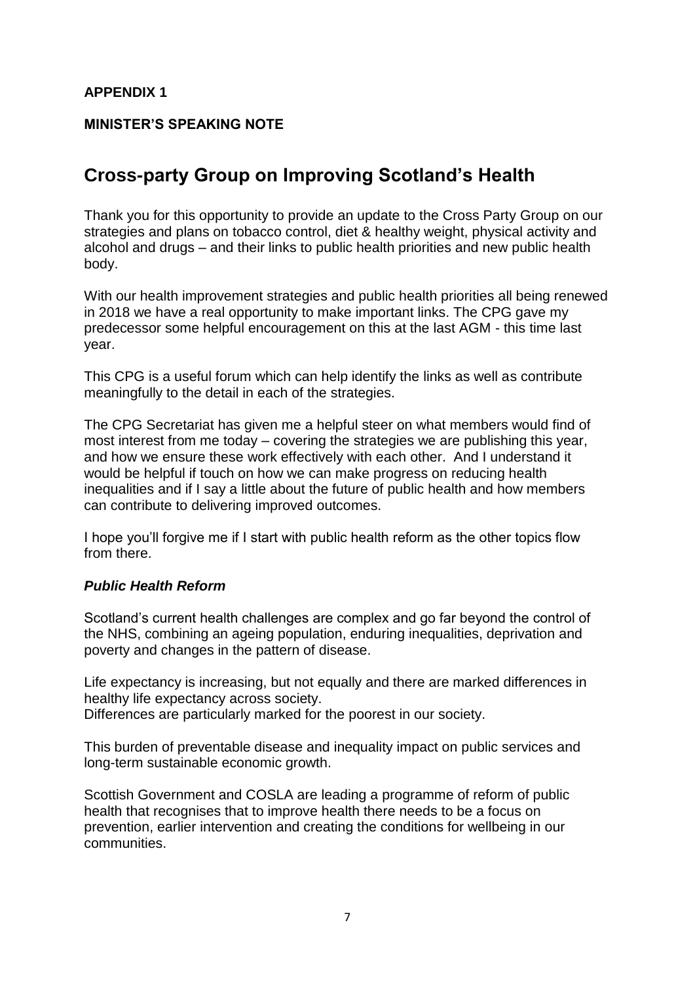# **APPENDIX 1**

# **MINISTER'S SPEAKING NOTE**

# **Cross-party Group on Improving Scotland's Health**

Thank you for this opportunity to provide an update to the Cross Party Group on our strategies and plans on tobacco control, diet & healthy weight, physical activity and alcohol and drugs – and their links to public health priorities and new public health body.

With our health improvement strategies and public health priorities all being renewed in 2018 we have a real opportunity to make important links. The CPG gave my predecessor some helpful encouragement on this at the last AGM - this time last year.

This CPG is a useful forum which can help identify the links as well as contribute meaningfully to the detail in each of the strategies.

The CPG Secretariat has given me a helpful steer on what members would find of most interest from me today – covering the strategies we are publishing this year, and how we ensure these work effectively with each other. And I understand it would be helpful if touch on how we can make progress on reducing health inequalities and if I say a little about the future of public health and how members can contribute to delivering improved outcomes.

I hope you'll forgive me if I start with public health reform as the other topics flow from there.

### *Public Health Reform*

Scotland's current health challenges are complex and go far beyond the control of the NHS, combining an ageing population, enduring inequalities, deprivation and poverty and changes in the pattern of disease.

Life expectancy is increasing, but not equally and there are marked differences in healthy life expectancy across society.

Differences are particularly marked for the poorest in our society.

This burden of preventable disease and inequality impact on public services and long-term sustainable economic growth.

Scottish Government and COSLA are leading a programme of reform of public health that recognises that to improve health there needs to be a focus on prevention, earlier intervention and creating the conditions for wellbeing in our communities.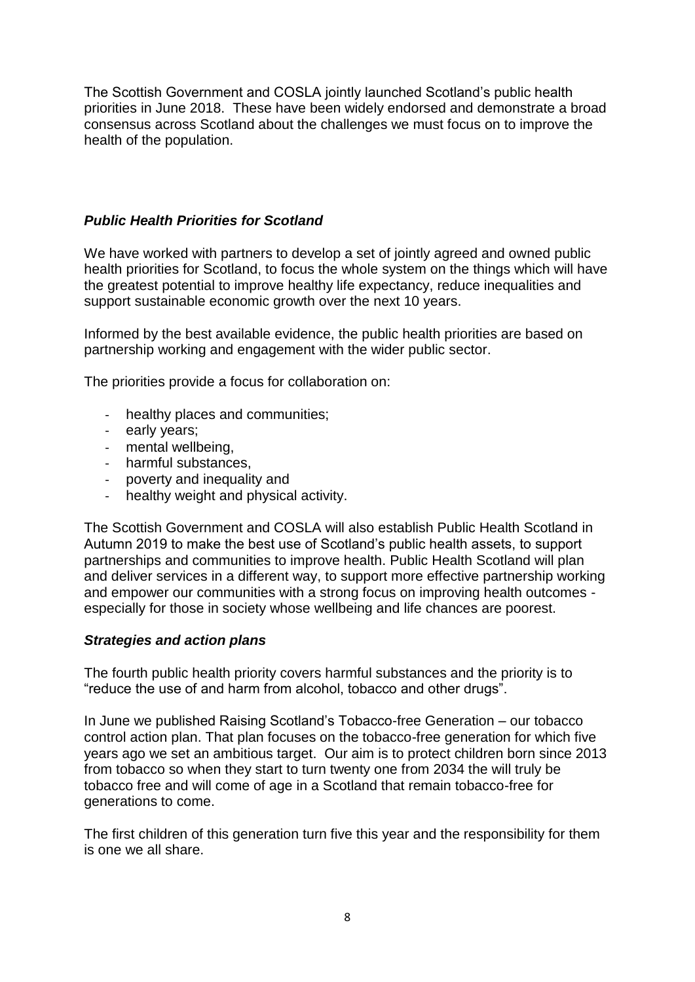The Scottish Government and COSLA jointly launched Scotland's public health priorities in June 2018. These have been widely endorsed and demonstrate a broad consensus across Scotland about the challenges we must focus on to improve the health of the population.

## *Public Health Priorities for Scotland*

We have worked with partners to develop a set of jointly agreed and owned public health priorities for Scotland, to focus the whole system on the things which will have the greatest potential to improve healthy life expectancy, reduce inequalities and support sustainable economic growth over the next 10 years.

Informed by the best available evidence, the public health priorities are based on partnership working and engagement with the wider public sector.

The priorities provide a focus for collaboration on:

- healthy places and communities;
- early years;
- mental wellbeing,
- harmful substances,
- poverty and inequality and
- healthy weight and physical activity.

The Scottish Government and COSLA will also establish Public Health Scotland in Autumn 2019 to make the best use of Scotland's public health assets, to support partnerships and communities to improve health. Public Health Scotland will plan and deliver services in a different way, to support more effective partnership working and empower our communities with a strong focus on improving health outcomes especially for those in society whose wellbeing and life chances are poorest.

### *Strategies and action plans*

The fourth public health priority covers harmful substances and the priority is to "reduce the use of and harm from alcohol, tobacco and other drugs".

In June we published Raising Scotland's Tobacco-free Generation – our tobacco control action plan. That plan focuses on the tobacco-free generation for which five years ago we set an ambitious target. Our aim is to protect children born since 2013 from tobacco so when they start to turn twenty one from 2034 the will truly be tobacco free and will come of age in a Scotland that remain tobacco-free for generations to come.

The first children of this generation turn five this year and the responsibility for them is one we all share.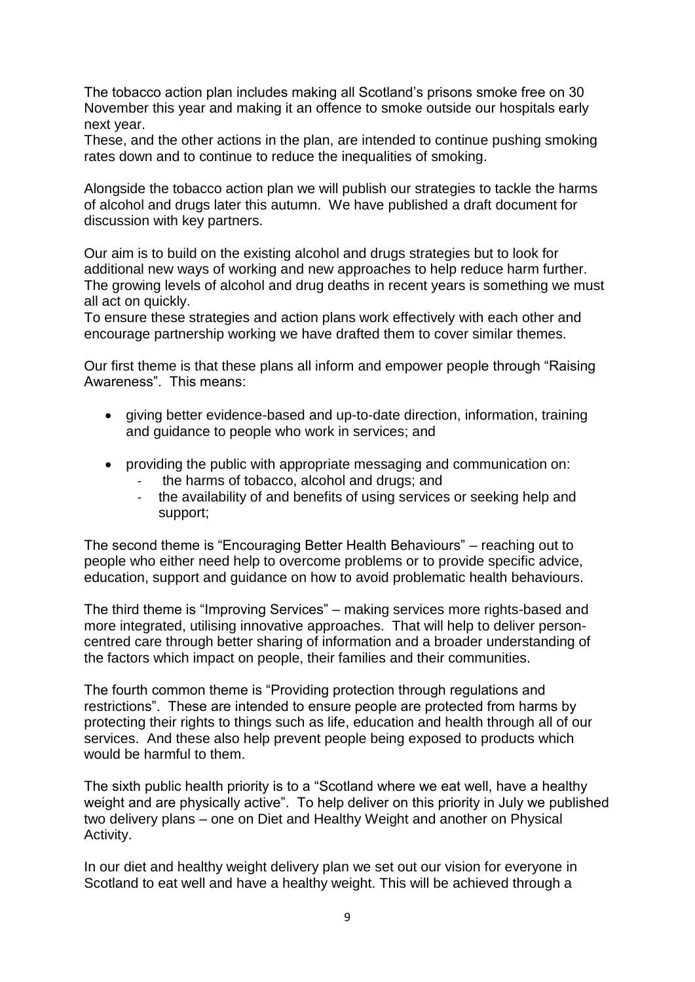The tobacco action plan includes making all Scotland's prisons smoke free on 30 November this year and making it an offence to smoke outside our hospitals early next year.

These, and the other actions in the plan, are intended to continue pushing smoking rates down and to continue to reduce the inequalities of smoking.

Alongside the tobacco action plan we will publish our strategies to tackle the harms of alcohol and drugs later this autumn. We have published a draft document for discussion with key partners.

Our aim is to build on the existing alcohol and drugs strategies but to look for additional new ways of working and new approaches to help reduce harm further. The growing levels of alcohol and drug deaths in recent years is something we must all act on quickly.

To ensure these strategies and action plans work effectively with each other and encourage partnership working we have drafted them to cover similar themes.

Our first theme is that these plans all inform and empower people through "Raising Awareness". This means:

- giving better evidence-based and up-to-date direction, information, training and guidance to people who work in services; and
- providing the public with appropriate messaging and communication on:
	- the harms of tobacco, alcohol and drugs; and
	- the availability of and benefits of using services or seeking help and support;

The second theme is "Encouraging Better Health Behaviours" – reaching out to people who either need help to overcome problems or to provide specific advice, education, support and guidance on how to avoid problematic health behaviours.

The third theme is "Improving Services" – making services more rights-based and more integrated, utilising innovative approaches. That will help to deliver personcentred care through better sharing of information and a broader understanding of the factors which impact on people, their families and their communities.

The fourth common theme is "Providing protection through regulations and restrictions". These are intended to ensure people are protected from harms by protecting their rights to things such as life, education and health through all of our services. And these also help prevent people being exposed to products which would be harmful to them.

The sixth public health priority is to a "Scotland where we eat well, have a healthy weight and are physically active". To help deliver on this priority in July we published two delivery plans – one on Diet and Healthy Weight and another on Physical Activity.

In our diet and healthy weight delivery plan we set out our vision for everyone in Scotland to eat well and have a healthy weight. This will be achieved through a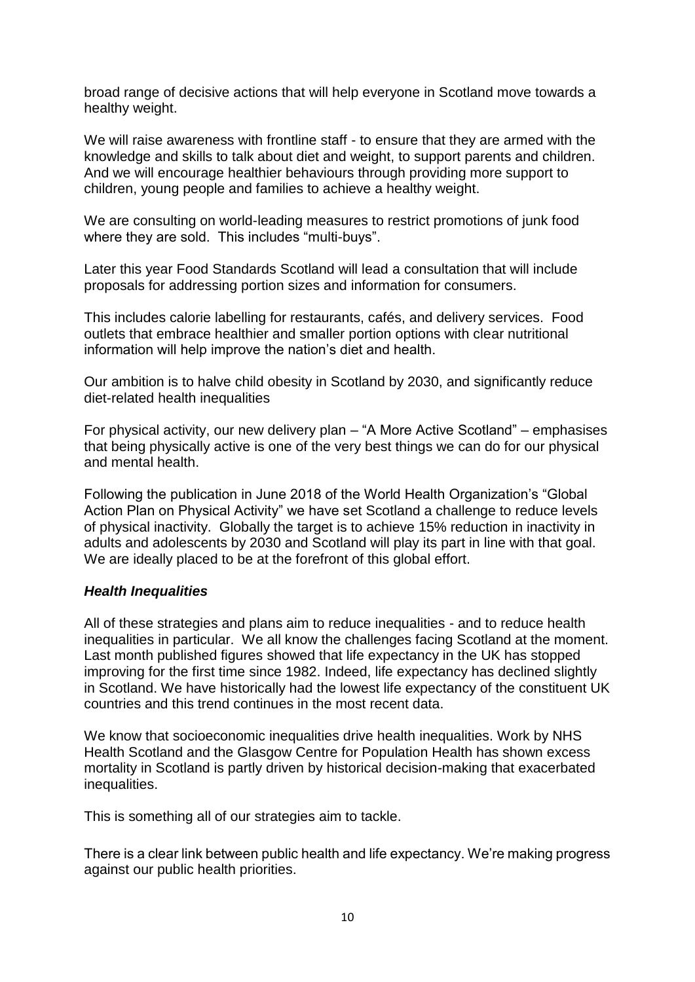broad range of decisive actions that will help everyone in Scotland move towards a healthy weight.

We will raise awareness with frontline staff - to ensure that they are armed with the knowledge and skills to talk about diet and weight, to support parents and children. And we will encourage healthier behaviours through providing more support to children, young people and families to achieve a healthy weight.

We are consulting on world-leading measures to restrict promotions of junk food where they are sold. This includes "multi-buys".

Later this year Food Standards Scotland will lead a consultation that will include proposals for addressing portion sizes and information for consumers.

This includes calorie labelling for restaurants, cafés, and delivery services. Food outlets that embrace healthier and smaller portion options with clear nutritional information will help improve the nation's diet and health.

Our ambition is to halve child obesity in Scotland by 2030, and significantly reduce diet-related health inequalities

For physical activity, our new delivery plan – "A More Active Scotland" – emphasises that being physically active is one of the very best things we can do for our physical and mental health.

Following the publication in June 2018 of the World Health Organization's "Global Action Plan on Physical Activity" we have set Scotland a challenge to reduce levels of physical inactivity. Globally the target is to achieve 15% reduction in inactivity in adults and adolescents by 2030 and Scotland will play its part in line with that goal. We are ideally placed to be at the forefront of this global effort.

### *Health Inequalities*

All of these strategies and plans aim to reduce inequalities - and to reduce health inequalities in particular. We all know the challenges facing Scotland at the moment. Last month published figures showed that life expectancy in the UK has stopped improving for the first time since 1982. Indeed, life expectancy has declined slightly in Scotland. We have historically had the lowest life expectancy of the constituent UK countries and this trend continues in the most recent data.

We know that socioeconomic inequalities drive health inequalities. Work by NHS Health Scotland and the Glasgow Centre for Population Health has shown excess mortality in Scotland is partly driven by historical decision-making that exacerbated inequalities.

This is something all of our strategies aim to tackle.

There is a clear link between public health and life expectancy. We're making progress against our public health priorities.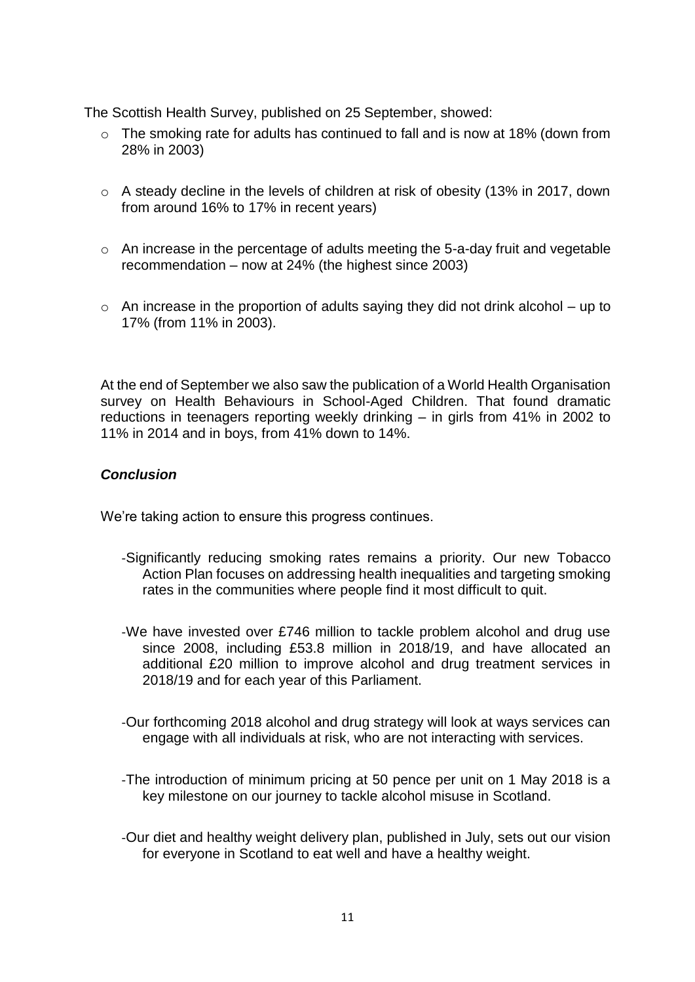The Scottish Health Survey, published on 25 September, showed:

- o The smoking rate for adults has continued to fall and is now at 18% (down from 28% in 2003)
- o A steady decline in the levels of children at risk of obesity (13% in 2017, down from around 16% to 17% in recent years)
- o An increase in the percentage of adults meeting the 5-a-day fruit and vegetable recommendation – now at 24% (the highest since 2003)
- $\circ$  An increase in the proportion of adults saying they did not drink alcohol up to 17% (from 11% in 2003).

At the end of September we also saw the publication of a World Health Organisation survey on Health Behaviours in School-Aged Children. That found dramatic reductions in teenagers reporting weekly drinking – in girls from 41% in 2002 to 11% in 2014 and in boys, from 41% down to 14%.

# *Conclusion*

We're taking action to ensure this progress continues.

- -Significantly reducing smoking rates remains a priority. Our new [Tobacco](https://www.gov.scothttps/www.gov.scot/Publications/2018/06/9483/Publications/2018/06/9483)  [Action Plan](https://www.gov.scothttps/www.gov.scot/Publications/2018/06/9483/Publications/2018/06/9483) focuses on addressing health inequalities and targeting smoking rates in the communities where people find it most difficult to quit.
- -We have invested over £746 million to tackle problem alcohol and drug use since 2008, including £53.8 million in 2018/19, and have allocated an additional £20 million to improve alcohol and drug treatment services in 2018/19 and for each year of this Parliament.
- -Our forthcoming 2018 alcohol and drug strategy will look at ways services can engage with all individuals at risk, who are not interacting with services.
- -The introduction of minimum pricing at 50 pence per unit on 1 May 2018 is a key milestone on our journey to tackle alcohol misuse in Scotland.
- -Our diet and healthy weight delivery plan, published in July, sets out our vision for everyone in Scotland to eat well and have a healthy weight.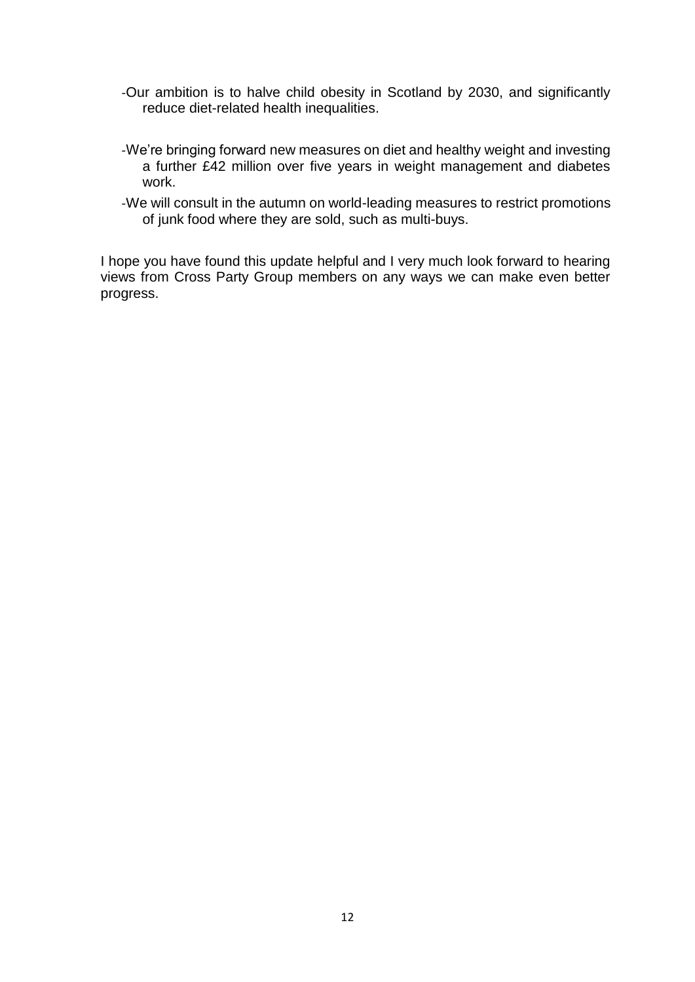- -Our ambition is to halve child obesity in Scotland by 2030, and significantly reduce diet-related health inequalities.
- -We're bringing forward new measures on diet and healthy weight and investing a further £42 million over five years in weight management and diabetes work.
- -We will consult in the autumn on world-leading measures to restrict promotions of junk food where they are sold, such as multi-buys.

I hope you have found this update helpful and I very much look forward to hearing views from Cross Party Group members on any ways we can make even better progress.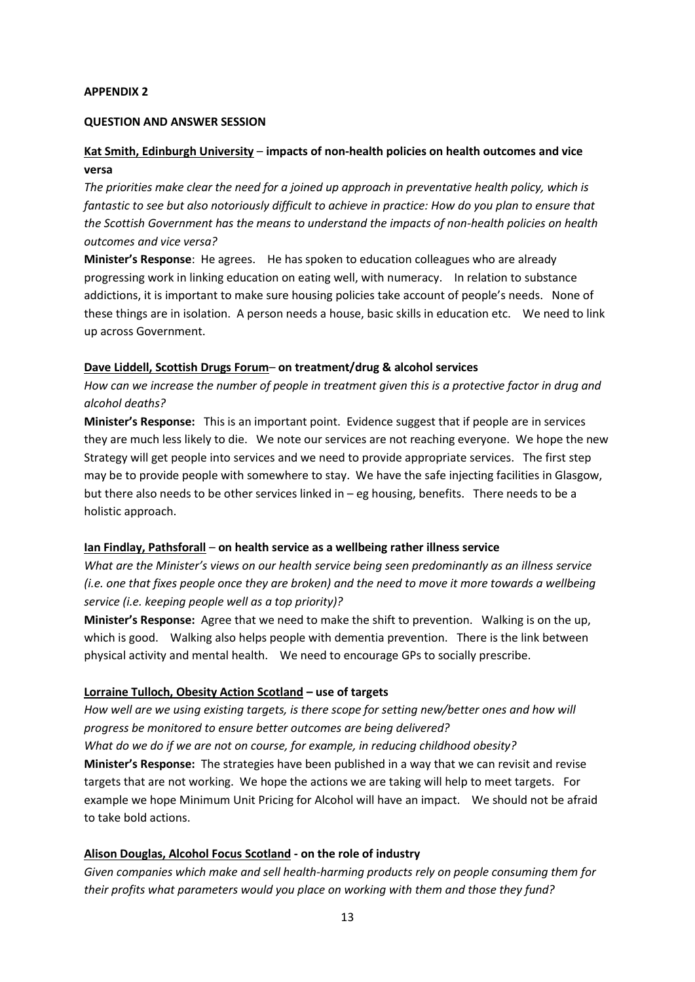#### **APPENDIX 2**

#### **QUESTION AND ANSWER SESSION**

### **Kat Smith, Edinburgh University** – **impacts of non-health policies on health outcomes and vice versa**

*The priorities make clear the need for a joined up approach in preventative health policy, which is fantastic to see but also notoriously difficult to achieve in practice: How do you plan to ensure that the Scottish Government has the means to understand the impacts of non-health policies on health outcomes and vice versa?*

**Minister's Response**: He agrees. He has spoken to education colleagues who are already progressing work in linking education on eating well, with numeracy. In relation to substance addictions, it is important to make sure housing policies take account of people's needs. None of these things are in isolation. A person needs a house, basic skills in education etc. We need to link up across Government.

#### **Dave Liddell, Scottish Drugs Forum**– **on treatment/drug & alcohol services**

*How can we increase the number of people in treatment given this is a protective factor in drug and alcohol deaths?*

**Minister's Response:** This is an important point.Evidence suggest that if people are in services they are much less likely to die. We note our services are not reaching everyone. We hope the new Strategy will get people into services and we need to provide appropriate services. The first step may be to provide people with somewhere to stay. We have the safe injecting facilities in Glasgow, but there also needs to be other services linked in – eg housing, benefits. There needs to be a holistic approach.

#### **Ian Findlay, Pathsforall** – **on health service as a wellbeing rather illness service**

*What are the Minister's views on our health service being seen predominantly as an illness service (i.e. one that fixes people once they are broken) and the need to move it more towards a wellbeing service (i.e. keeping people well as a top priority)?* 

**Minister's Response:** Agree that we need to make the shift to prevention. Walking is on the up, which is good. Walking also helps people with dementia prevention. There is the link between physical activity and mental health. We need to encourage GPs to socially prescribe.

#### **Lorraine Tulloch, Obesity Action Scotland – use of targets**

*How well are we using existing targets, is there scope for setting new/better ones and how will progress be monitored to ensure better outcomes are being delivered? What do we do if we are not on course, for example, in reducing childhood obesity?* **Minister's Response:** The strategies have been published in a way that we can revisit and revise targets that are not working. We hope the actions we are taking will help to meet targets. For example we hope Minimum Unit Pricing for Alcohol will have an impact. We should not be afraid to take bold actions.

#### **Alison Douglas, Alcohol Focus Scotland - on the role of industry**

*Given companies which make and sell health-harming products rely on people consuming them for their profits what parameters would you place on working with them and those they fund?*